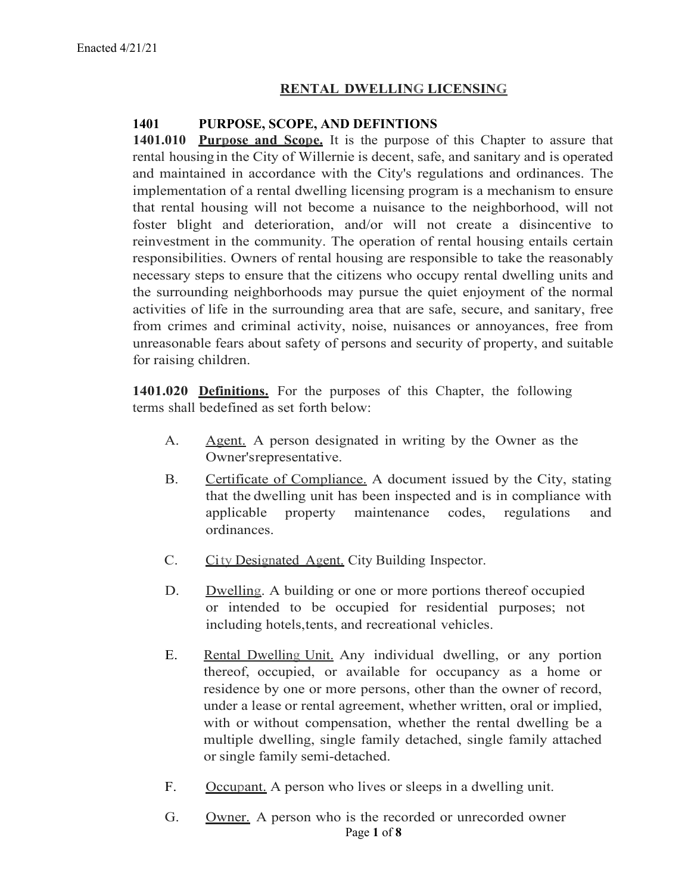# **RENTAL DWELLING LICENSING**

# **1401 PURPOSE, SCOPE, AND DEFINTIONS**

**1401.010 Purpose and Scope.** It is the purpose of this Chapter to assure that rental housing in the City of Willernie is decent, safe, and sanitary and is operated and maintained in accordance with the City's regulations and ordinances. The implementation of a rental dwelling licensing program is a mechanism to ensure that rental housing will not become a nuisance to the neighborhood, will not foster blight and deterioration, and/or will not create a disincentive to reinvestment in the community. The operation of rental housing entails certain responsibilities. Owners of rental housing are responsible to take the reasonably necessary steps to ensure that the citizens who occupy rental dwelling units and the surrounding neighborhoods may pursue the quiet enjoyment of the normal activities of life in the surrounding area that are safe, secure, and sanitary, free from crimes and criminal activity, noise, nuisances or annoyances, free from unreasonable fears about safety of persons and security of property, and suitable for raising children.

**1401.020 Definitions.** For the purposes of this Chapter, the following terms shall bedefined as set forth below:

- A. Agent. A person designated in writing by the Owner as the Owner'srepresentative.
- B. Certificate of Compliance. A document issued by the City, stating that the dwelling unit has been inspected and is in compliance with applicable property maintenance codes, regulations and ordinances.
- C. City Designated Agent. City Building Inspector.
- D. Dwelling. A building or one or more portions thereof occupied or intended to be occupied for residential purposes; not including hotels,tents, and recreational vehicles.
- E. Rental Dwelling Unit. Any individual dwelling, or any portion thereof, occupied, or available for occupancy as a home or residence by one or more persons, other than the owner of record, under a lease or rental agreement, whether written, oral or implied, with or without compensation, whether the rental dwelling be a multiple dwelling, single family detached, single family attached or single family semi-detached.
- F. Occupant. A person who lives or sleeps in a dwelling unit.
- Page **1** of **8** G. Owner. A person who is the recorded or unrecorded owner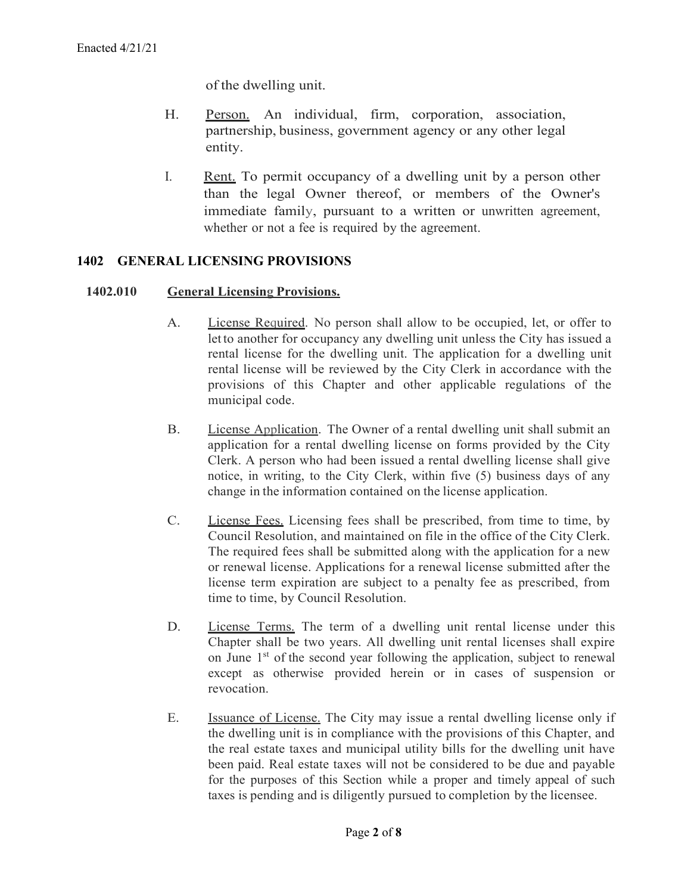of the dwelling unit.

- H. Person. An individual, firm, corporation, association, partnership, business, government agency or any other legal entity.
- I. Rent. To permit occupancy of a dwelling unit by a person other than the legal Owner thereof, or members of the Owner's immediate family, pursuant to a written or unwritten agreement, whether or not a fee is required by the agreement.

### **1402 GENERAL LICENSING PROVISIONS**

#### **1402.010 General Licensing Provisions.**

- A. License Required. No person shall allow to be occupied, let, or offer to letto another for occupancy any dwelling unit unless the City has issued a rental license for the dwelling unit. The application for a dwelling unit rental license will be reviewed by the City Clerk in accordance with the provisions of this Chapter and other applicable regulations of the municipal code.
- B. License Application. The Owner of a rental dwelling unit shall submit an application for a rental dwelling license on forms provided by the City Clerk. A person who had been issued a rental dwelling license shall give notice, in writing, to the City Clerk, within five (5) business days of any change in the information contained on the license application.
- C. License Fees. Licensing fees shall be prescribed, from time to time, by Council Resolution, and maintained on file in the office of the City Clerk. The required fees shall be submitted along with the application for a new or renewal license. Applications for a renewal license submitted after the license term expiration are subject to a penalty fee as prescribed, from time to time, by Council Resolution.
- D. License Terms. The term of a dwelling unit rental license under this Chapter shall be two years. All dwelling unit rental licenses shall expire on June 1<sup>st</sup> of the second year following the application, subject to renewal except as otherwise provided herein or in cases of suspension or revocation.
- E. Issuance of License. The City may issue a rental dwelling license only if the dwelling unit is in compliance with the provisions of this Chapter, and the real estate taxes and municipal utility bills for the dwelling unit have been paid. Real estate taxes will not be considered to be due and payable for the purposes of this Section while a proper and timely appeal of such taxes is pending and is diligently pursued to completion by the licensee.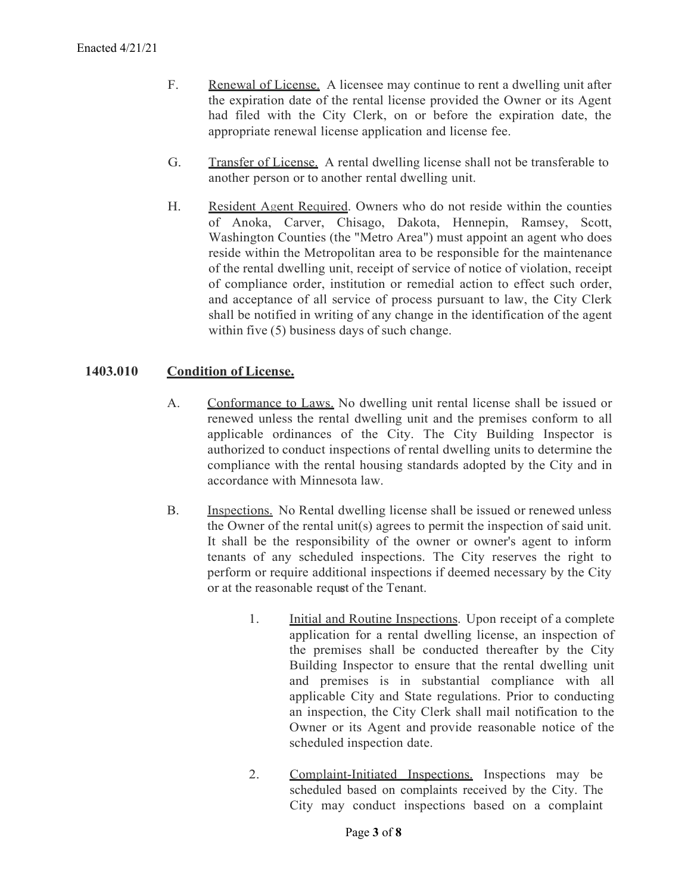- F. Renewal of License. A licensee may continue to rent a dwelling unit after the expiration date of the rental license provided the Owner or its Agent had filed with the City Clerk, on or before the expiration date, the appropriate renewal license application and license fee.
- G. Transfer of License. A rental dwelling license shall not be transferable to another person or to another rental dwelling unit.
- H. Resident Agent Required. Owners who do not reside within the counties of Anoka, Carver, Chisago, Dakota, Hennepin, Ramsey, Scott, Washington Counties (the "Metro Area") must appoint an agent who does reside within the Metropolitan area to be responsible for the maintenance of the rental dwelling unit, receipt of service of notice of violation, receipt of compliance order, institution or remedial action to effect such order, and acceptance of all service of process pursuant to law, the City Clerk shall be notified in writing of any change in the identification of the agent within five (5) business days of such change.

### **1403.010 Condition of License.**

- A. Conformance to Laws. No dwelling unit rental license shall be issued or renewed unless the rental dwelling unit and the premises conform to all applicable ordinances of the City. The City Building Inspector is authorized to conduct inspections of rental dwelling units to determine the compliance with the rental housing standards adopted by the City and in accordance with Minnesota law.
- B. Inspections. No Rental dwelling license shall be issued or renewed unless the Owner of the rental unit(s) agrees to permit the inspection of said unit. It shall be the responsibility of the owner or owner's agent to inform tenants of any scheduled inspections. The City reserves the right to perform or require additional inspections if deemed necessary by the City or at the reasonable request of the Tenant.
	- 1. Initial and Routine Inspections. Upon receipt of a complete application for a rental dwelling license, an inspection of the premises shall be conducted thereafter by the City Building Inspector to ensure that the rental dwelling unit and premises is in substantial compliance with all applicable City and State regulations. Prior to conducting an inspection, the City Clerk shall mail notification to the Owner or its Agent and provide reasonable notice of the scheduled inspection date.
	- 2. Complaint-Initiated Inspections. Inspections may be scheduled based on complaints received by the City. The City may conduct inspections based on a complaint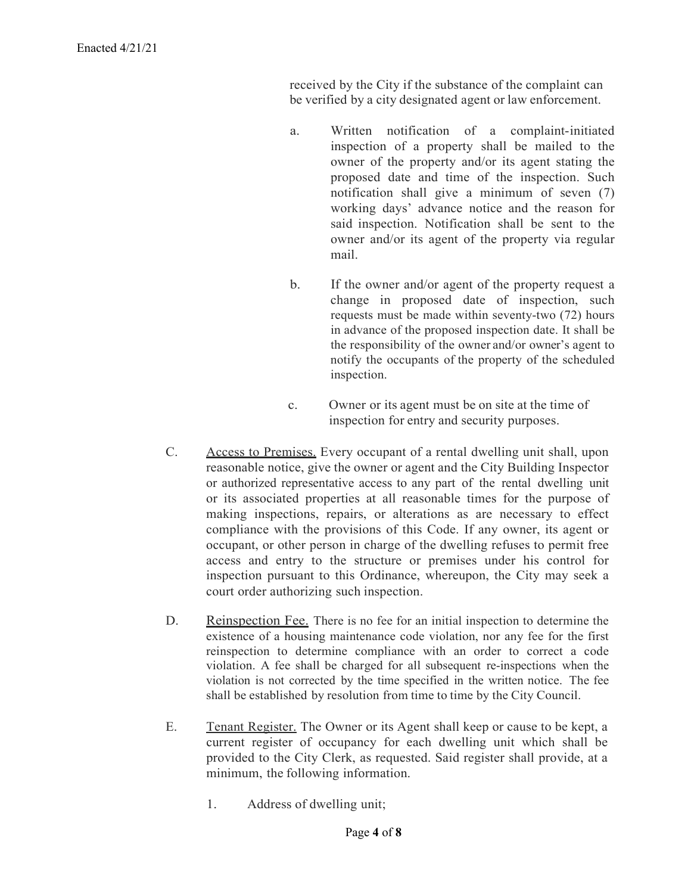received by the City if the substance of the complaint can be verified by a city designated agent or law enforcement.

- a. Written notification of a complaint-initiated inspection of a property shall be mailed to the owner of the property and/or its agent stating the proposed date and time of the inspection. Such notification shall give a minimum of seven (7) working days' advance notice and the reason for said inspection. Notification shall be sent to the owner and/or its agent of the property via regular mail.
- b. If the owner and/or agent of the property request a change in proposed date of inspection, such requests must be made within seventy-two (72) hours in advance of the proposed inspection date. It shall be the responsibility of the owner and/or owner's agent to notify the occupants of the property of the scheduled inspection.
- c. Owner or its agent must be on site at the time of inspection for entry and security purposes.
- C. Access to Premises. Every occupant of a rental dwelling unit shall, upon reasonable notice, give the owner or agent and the City Building Inspector or authorized representative access to any part of the rental dwelling unit or its associated properties at all reasonable times for the purpose of making inspections, repairs, or alterations as are necessary to effect compliance with the provisions of this Code. If any owner, its agent or occupant, or other person in charge of the dwelling refuses to permit free access and entry to the structure or premises under his control for inspection pursuant to this Ordinance, whereupon, the City may seek a court order authorizing such inspection.
- D. Reinspection Fee. There is no fee for an initial inspection to determine the existence of a housing maintenance code violation, nor any fee for the first reinspection to determine compliance with an order to correct a code violation. A fee shall be charged for all subsequent re-inspections when the violation is not corrected by the time specified in the written notice. The fee shall be established by resolution from time to time by the City Council.
- E. Tenant Register. The Owner or its Agent shall keep or cause to be kept, a current register of occupancy for each dwelling unit which shall be provided to the City Clerk, as requested. Said register shall provide, at a minimum, the following information.
	- 1. Address of dwelling unit;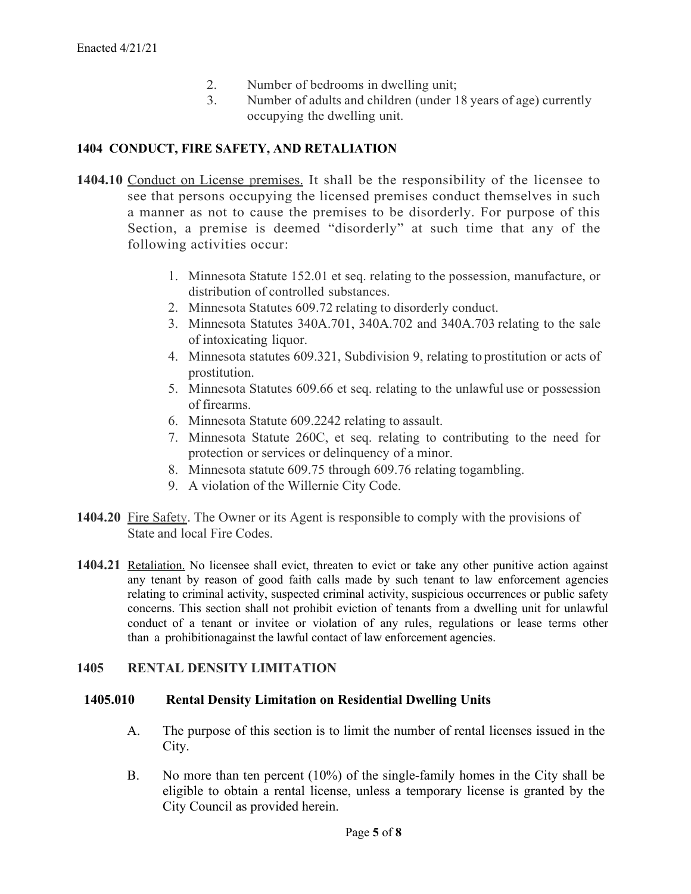- 2. Number of bedrooms in dwelling unit;
- 3. Number of adults and children (under 18 years of age) currently occupying the dwelling unit.

# **1404 CONDUCT, FIRE SAFETY, AND RETALIATION**

- **1404.10** Conduct on License premises. It shall be the responsibility of the licensee to see that persons occupying the licensed premises conduct themselves in such a manner as not to cause the premises to be disorderly. For purpose of this Section, a premise is deemed "disorderly" at such time that any of the following activities occur:
	- 1. Minnesota Statute 152.01 et seq. relating to the possession, manufacture, or distribution of controlled substances.
	- 2. Minnesota Statutes 609.72 relating to disorderly conduct.
	- 3. Minnesota Statutes 340A.701, 340A.702 and 340A.703 relating to the sale of intoxicating liquor.
	- 4. Minnesota statutes 609.321, Subdivision 9, relating to prostitution or acts of prostitution.
	- 5. Minnesota Statutes 609.66 et seq. relating to the unlawful use or possession of firearms.
	- 6. Minnesota Statute 609.2242 relating to assault.
	- 7. Minnesota Statute 260C, et seq. relating to contributing to the need for protection or services or delinquency of a minor.
	- 8. Minnesota statute 609.75 through 609.76 relating togambling.
	- 9. A violation of the Willernie City Code.
- **1404.20** Fire Safety. The Owner or its Agent is responsible to comply with the provisions of State and local Fire Codes.
- **1404.21** Retaliation. No licensee shall evict, threaten to evict or take any other punitive action against any tenant by reason of good faith calls made by such tenant to law enforcement agencies relating to criminal activity, suspected criminal activity, suspicious occurrences or public safety concerns. This section shall not prohibit eviction of tenants from a dwelling unit for unlawful conduct of a tenant or invitee or violation of any rules, regulations or lease terms other than a prohibitionagainst the lawful contact of law enforcement agencies.

# **1405 RENTAL DENSITY LIMITATION**

# **1405.010 Rental Density Limitation on Residential Dwelling Units**

- A. The purpose of this section is to limit the number of rental licenses issued in the City.
- B. No more than ten percent (10%) of the single-family homes in the City shall be eligible to obtain a rental license, unless a temporary license is granted by the City Council as provided herein.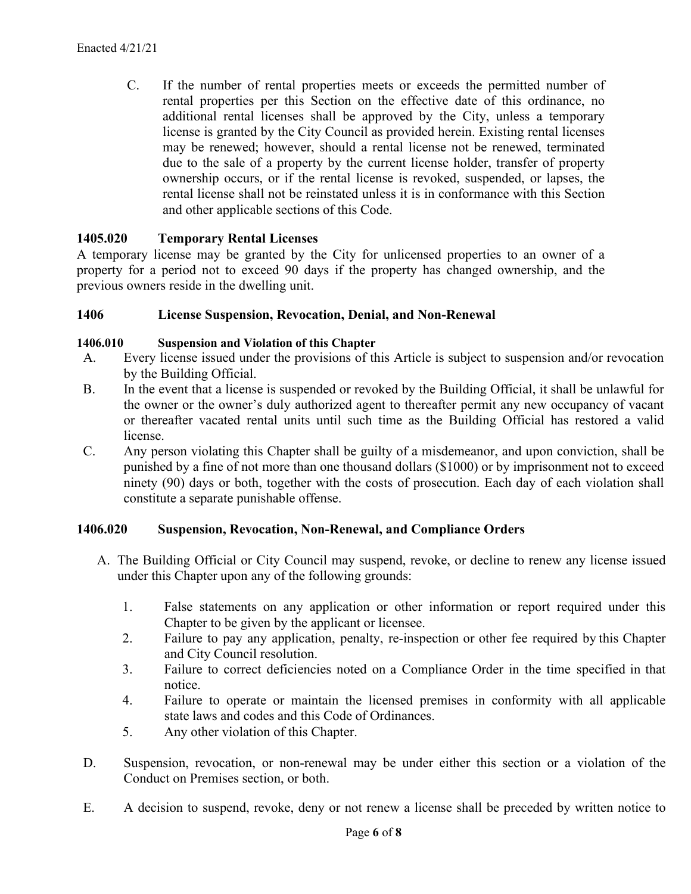C. If the number of rental properties meets or exceeds the permitted number of rental properties per this Section on the effective date of this ordinance, no additional rental licenses shall be approved by the City, unless a temporary license is granted by the City Council as provided herein. Existing rental licenses may be renewed; however, should a rental license not be renewed, terminated due to the sale of a property by the current license holder, transfer of property ownership occurs, or if the rental license is revoked, suspended, or lapses, the rental license shall not be reinstated unless it is in conformance with this Section and other applicable sections of this Code.

### **1405.020 Temporary Rental Licenses**

A temporary license may be granted by the City for unlicensed properties to an owner of a property for a period not to exceed 90 days if the property has changed ownership, and the previous owners reside in the dwelling unit.

#### **1406 License Suspension, Revocation, Denial, and Non-Renewal**

#### **1406.010 Suspension and Violation of this Chapter**

- A. Every license issued under the provisions of this Article is subject to suspension and/or revocation by the Building Official.
- B. In the event that a license is suspended or revoked by the Building Official, it shall be unlawful for the owner or the owner's duly authorized agent to thereafter permit any new occupancy of vacant or thereafter vacated rental units until such time as the Building Official has restored a valid license.
- C. Any person violating this Chapter shall be guilty of a misdemeanor, and upon conviction, shall be punished by a fine of not more than one thousand dollars (\$1000) or by imprisonment not to exceed ninety (90) days or both, together with the costs of prosecution. Each day of each violation shall constitute a separate punishable offense.

#### **1406.020 Suspension, Revocation, Non-Renewal, and Compliance Orders**

- A. The Building Official or City Council may suspend, revoke, or decline to renew any license issued under this Chapter upon any of the following grounds:
	- 1. False statements on any application or other information or report required under this Chapter to be given by the applicant or licensee.
	- 2. Failure to pay any application, penalty, re-inspection or other fee required by this Chapter and City Council resolution.
	- 3. Failure to correct deficiencies noted on a Compliance Order in the time specified in that notice.
	- 4. Failure to operate or maintain the licensed premises in conformity with all applicable state laws and codes and this Code of Ordinances.
	- 5. Any other violation of this Chapter.
- D. Suspension, revocation, or non-renewal may be under either this section or a violation of the Conduct on Premises section, or both.
- E. A decision to suspend, revoke, deny or not renew a license shall be preceded by written notice to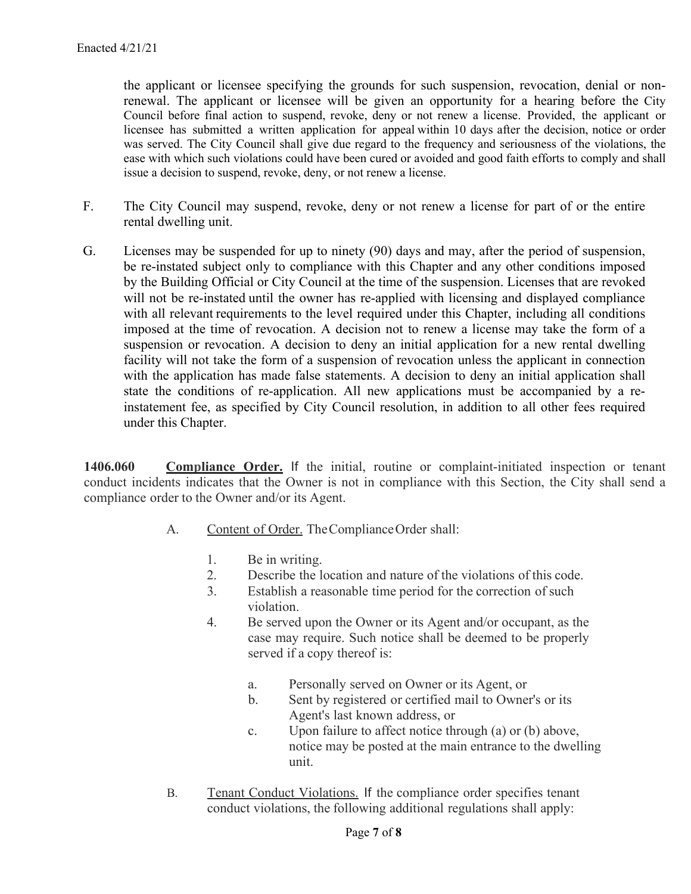the applicant or licensee specifying the grounds for such suspension, revocation, denial or nonrenewal. The applicant or licensee will be given an opportunity for a hearing before the City Council before final action to suspend, revoke, deny or not renew a license. Provided, the applicant or licensee has submitted a written application for appeal within 10 days after the decision, notice or order was served. The City Council shall give due regard to the frequency and seriousness of the violations, the ease with which such violations could have been cured or avoided and good faith efforts to comply and shall issue a decision to suspend, revoke, deny, or not renew a license.

- F. The City Council may suspend, revoke, deny or not renew a license for part of or the entire rental dwelling unit.
- G. Licenses may be suspended for up to ninety (90) days and may, after the period of suspension, be re-instated subject only to compliance with this Chapter and any other conditions imposed by the Building Official or City Council at the time of the suspension. Licenses that are revoked will not be re-instated until the owner has re-applied with licensing and displayed compliance with all relevant requirements to the level required under this Chapter, including all conditions imposed at the time of revocation. A decision not to renew a license may take the form of a suspension or revocation. A decision to deny an initial application for a new rental dwelling facility will not take the form of a suspension of revocation unless the applicant in connection with the application has made false statements. A decision to deny an initial application shall state the conditions of re-application. All new applications must be accompanied by a reinstatement fee, as specified by City Council resolution, in addition to all other fees required under this Chapter.

**1406.060 Compliance Order.** If the initial, routine or complaint-initiated inspection or tenant conduct incidents indicates that the Owner is not in compliance with this Section, the City shall send a compliance order to the Owner and/or its Agent.

- A. Content of Order. The Compliance Order shall:
	- 1. Be in writing.
	- 2. Describe the location and nature of the violations of this code.
	- 3. Establish a reasonable time period for the correction of such violation.
	- 4. Be served upon the Owner or its Agent and/or occupant, as the case may require. Such notice shall be deemed to be properly served if a copy thereof is:
		- a. Personally served on Owner or its Agent, or
		- b. Sent by registered or certified mail to Owner's or its Agent's last known address, or
		- c. Upon failure to affect notice through (a) or (b) above, notice may be posted at the main entrance to the dwelling unit.
- B. Tenant Conduct Violations. If the compliance order specifies tenant conduct violations, the following additional regulations shall apply: